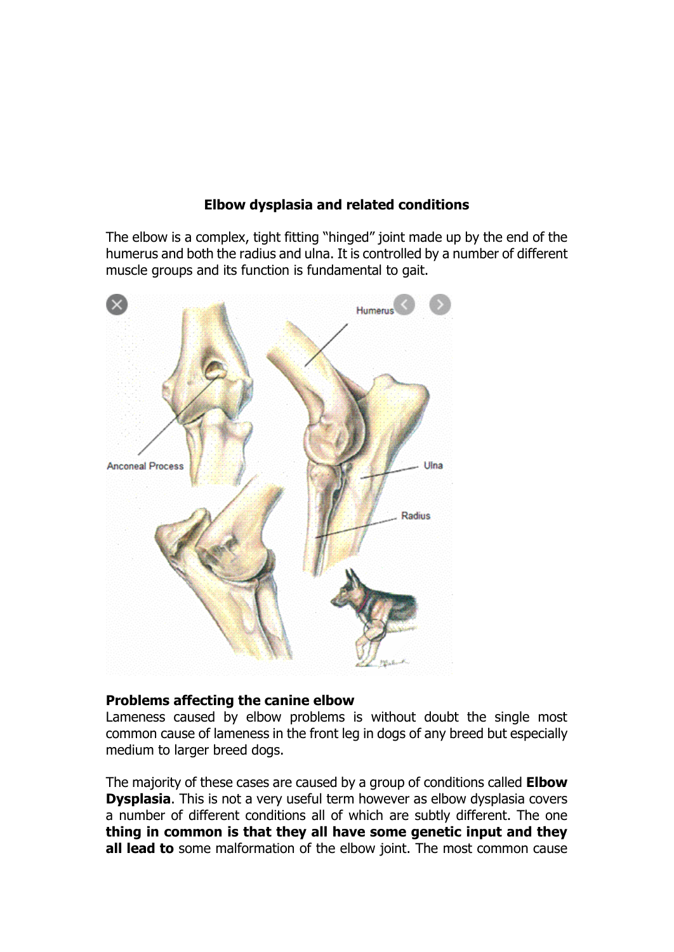# **Elbow dysplasia and related conditions**

The elbow is a complex, tight fitting "hinged" joint made up by the end of the humerus and both the radius and ulna. It is controlled by a number of different muscle groups and its function is fundamental to gait.



### **Problems affecting the canine elbow**

Lameness caused by elbow problems is without doubt the single most common cause of lameness in the front leg in dogs of any breed but especially medium to larger breed dogs.

The majority of these cases are caused by a group of conditions called **Elbow Dysplasia**. This is not a very useful term however as elbow dysplasia covers a number of different conditions all of which are subtly different. The one **thing in common is that they all have some genetic input and they all lead to** some malformation of the elbow joint. The most common cause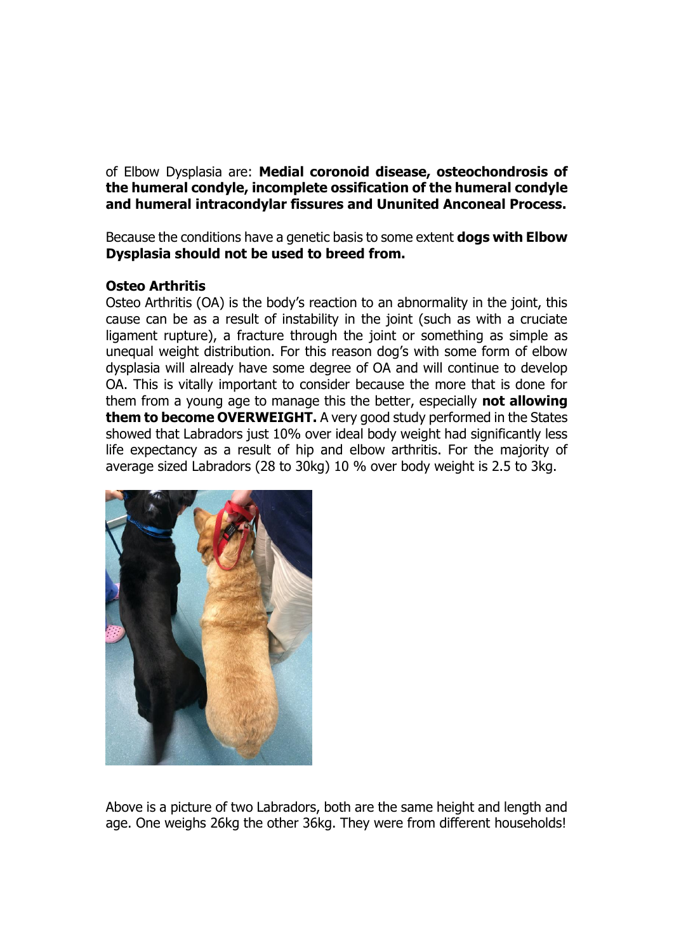of Elbow Dysplasia are: **Medial coronoid disease, osteochondrosis of the humeral condyle, incomplete ossification of the humeral condyle and humeral intracondylar fissures and Ununited Anconeal Process.**

Because the conditions have a genetic basis to some extent **dogs with Elbow Dysplasia should not be used to breed from.**

# **Osteo Arthritis**

Osteo Arthritis (OA) is the body's reaction to an abnormality in the joint, this cause can be as a result of instability in the joint (such as with a cruciate ligament rupture), a fracture through the joint or something as simple as unequal weight distribution. For this reason dog's with some form of elbow dysplasia will already have some degree of OA and will continue to develop OA. This is vitally important to consider because the more that is done for them from a young age to manage this the better, especially **not allowing them to become OVERWEIGHT.** A very good study performed in the States showed that Labradors just 10% over ideal body weight had significantly less life expectancy as a result of hip and elbow arthritis. For the majority of average sized Labradors (28 to 30kg) 10 % over body weight is 2.5 to 3kg.



Above is a picture of two Labradors, both are the same height and length and age. One weighs 26kg the other 36kg. They were from different households!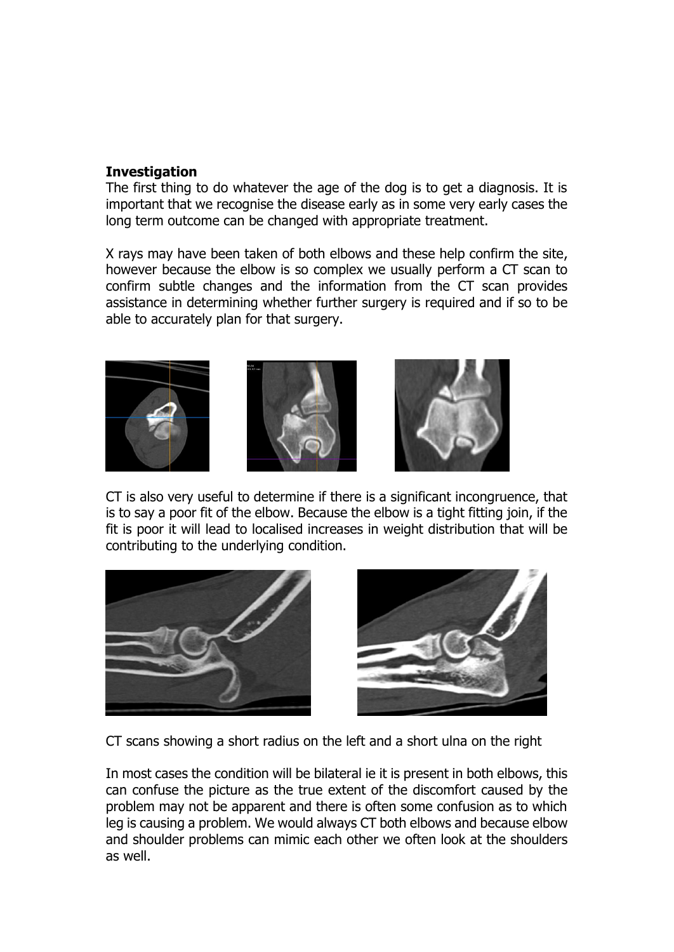## **Investigation**

The first thing to do whatever the age of the dog is to get a diagnosis. It is important that we recognise the disease early as in some very early cases the long term outcome can be changed with appropriate treatment.

X rays may have been taken of both elbows and these help confirm the site, however because the elbow is so complex we usually perform a CT scan to confirm subtle changes and the information from the CT scan provides assistance in determining whether further surgery is required and if so to be able to accurately plan for that surgery.







CT is also very useful to determine if there is a significant incongruence, that is to say a poor fit of the elbow. Because the elbow is a tight fitting join, if the fit is poor it will lead to localised increases in weight distribution that will be contributing to the underlying condition.





CT scans showing a short radius on the left and a short ulna on the right

In most cases the condition will be bilateral ie it is present in both elbows, this can confuse the picture as the true extent of the discomfort caused by the problem may not be apparent and there is often some confusion as to which leg is causing a problem. We would always CT both elbows and because elbow and shoulder problems can mimic each other we often look at the shoulders as well.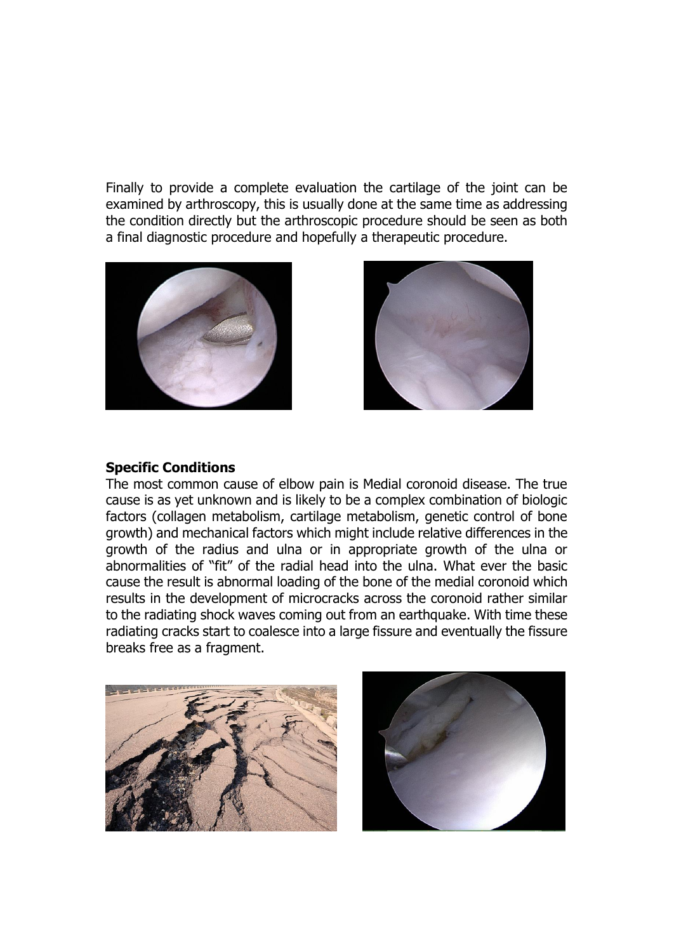Finally to provide a complete evaluation the cartilage of the joint can be examined by arthroscopy, this is usually done at the same time as addressing the condition directly but the arthroscopic procedure should be seen as both a final diagnostic procedure and hopefully a therapeutic procedure.





#### **Specific Conditions**

The most common cause of elbow pain is Medial coronoid disease. The true cause is as yet unknown and is likely to be a complex combination of biologic factors (collagen metabolism, cartilage metabolism, genetic control of bone growth) and mechanical factors which might include relative differences in the growth of the radius and ulna or in appropriate growth of the ulna or abnormalities of "fit" of the radial head into the ulna. What ever the basic cause the result is abnormal loading of the bone of the medial coronoid which results in the development of microcracks across the coronoid rather similar to the radiating shock waves coming out from an earthquake. With time these radiating cracks start to coalesce into a large fissure and eventually the fissure breaks free as a fragment.



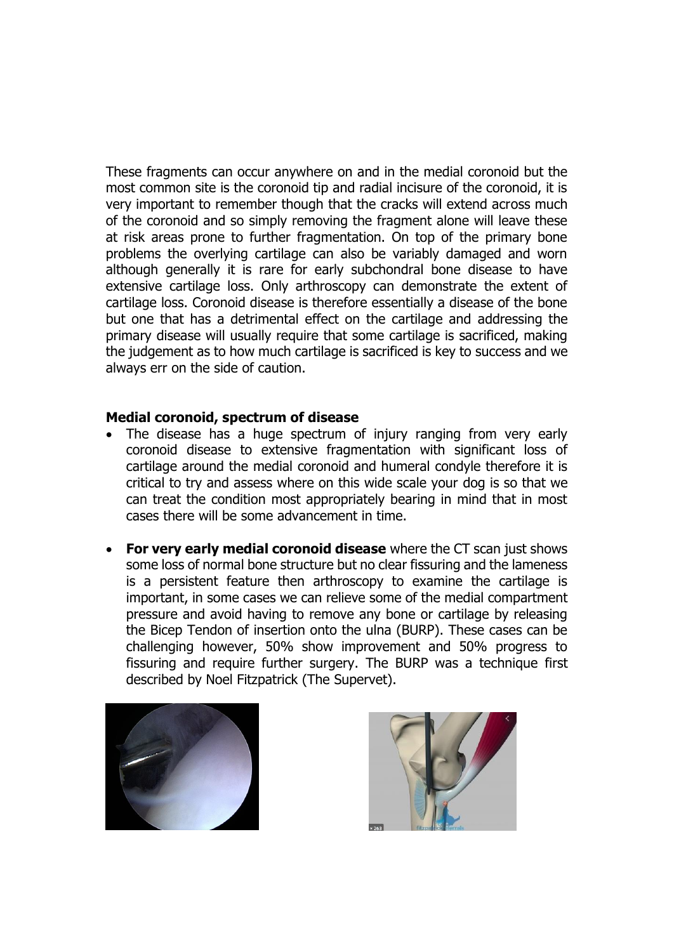These fragments can occur anywhere on and in the medial coronoid but the most common site is the coronoid tip and radial incisure of the coronoid, it is very important to remember though that the cracks will extend across much of the coronoid and so simply removing the fragment alone will leave these at risk areas prone to further fragmentation. On top of the primary bone problems the overlying cartilage can also be variably damaged and worn although generally it is rare for early subchondral bone disease to have extensive cartilage loss. Only arthroscopy can demonstrate the extent of cartilage loss. Coronoid disease is therefore essentially a disease of the bone but one that has a detrimental effect on the cartilage and addressing the primary disease will usually require that some cartilage is sacrificed, making the judgement as to how much cartilage is sacrificed is key to success and we always err on the side of caution.

### **Medial coronoid, spectrum of disease**

- The disease has a huge spectrum of injury ranging from very early coronoid disease to extensive fragmentation with significant loss of cartilage around the medial coronoid and humeral condyle therefore it is critical to try and assess where on this wide scale your dog is so that we can treat the condition most appropriately bearing in mind that in most cases there will be some advancement in time.
- **For very early medial coronoid disease** where the CT scan just shows some loss of normal bone structure but no clear fissuring and the lameness is a persistent feature then arthroscopy to examine the cartilage is important, in some cases we can relieve some of the medial compartment pressure and avoid having to remove any bone or cartilage by releasing the Bicep Tendon of insertion onto the ulna (BURP). These cases can be challenging however, 50% show improvement and 50% progress to fissuring and require further surgery. The BURP was a technique first described by Noel Fitzpatrick (The Supervet).



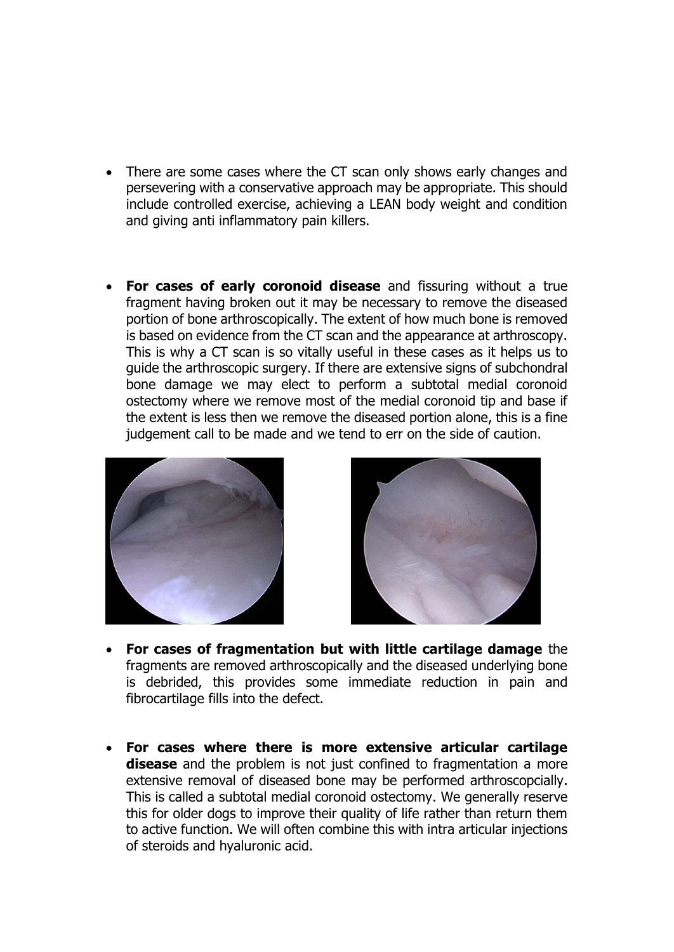- There are some cases where the CT scan only shows early changes and persevering with a conservative approach may be appropriate. This should include controlled exercise, achieving a LEAN body weight and condition and giving anti inflammatory pain killers.
- **For cases of early coronoid disease** and fissuring without a true fragment having broken out it may be necessary to remove the diseased portion of bone arthroscopically. The extent of how much bone is removed is based on evidence from the CT scan and the appearance at arthroscopy. This is why a CT scan is so vitally useful in these cases as it helps us to guide the arthroscopic surgery. If there are extensive signs of subchondral bone damage we may elect to perform a subtotal medial coronoid ostectomy where we remove most of the medial coronoid tip and base if the extent is less then we remove the diseased portion alone, this is a fine judgement call to be made and we tend to err on the side of caution.





- **For cases of fragmentation but with little cartilage damage** the fragments are removed arthroscopically and the diseased underlying bone is debrided, this provides some immediate reduction in pain and fibrocartilage fills into the defect.
- **For cases where there is more extensive articular cartilage disease** and the problem is not just confined to fragmentation a more extensive removal of diseased bone may be performed arthroscopcially. This is called a subtotal medial coronoid ostectomy. We generally reserve this for older dogs to improve their quality of life rather than return them to active function. We will often combine this with intra articular injections of steroids and hyaluronic acid.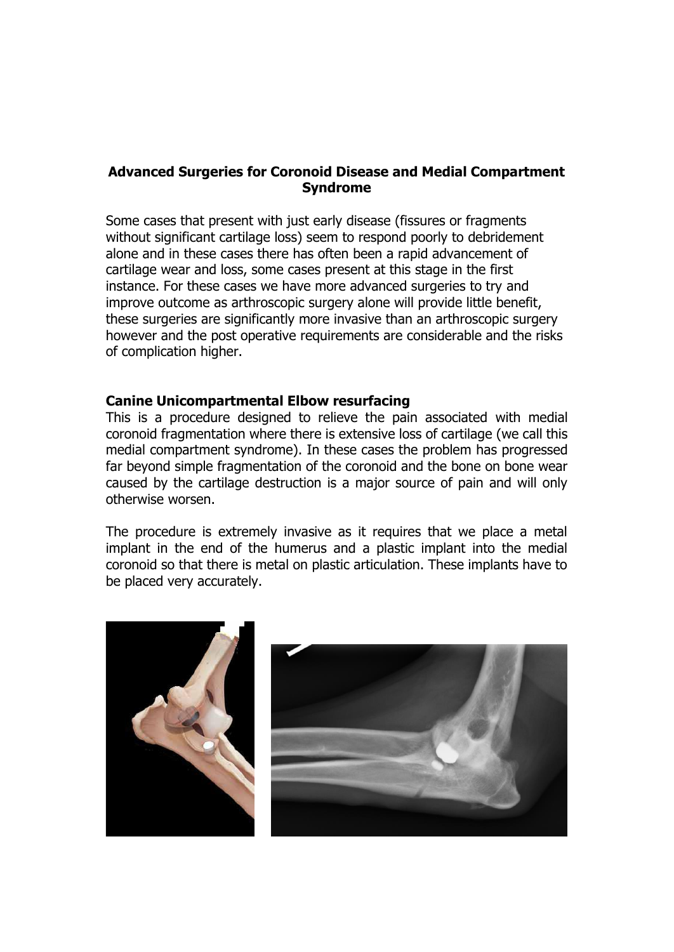# **Advanced Surgeries for Coronoid Disease and Medial Compartment Syndrome**

Some cases that present with just early disease (fissures or fragments without significant cartilage loss) seem to respond poorly to debridement alone and in these cases there has often been a rapid advancement of cartilage wear and loss, some cases present at this stage in the first instance. For these cases we have more advanced surgeries to try and improve outcome as arthroscopic surgery alone will provide little benefit, these surgeries are significantly more invasive than an arthroscopic surgery however and the post operative requirements are considerable and the risks of complication higher.

## **Canine Unicompartmental Elbow resurfacing**

This is a procedure designed to relieve the pain associated with medial coronoid fragmentation where there is extensive loss of cartilage (we call this medial compartment syndrome). In these cases the problem has progressed far beyond simple fragmentation of the coronoid and the bone on bone wear caused by the cartilage destruction is a major source of pain and will only otherwise worsen.

The procedure is extremely invasive as it requires that we place a metal implant in the end of the humerus and a plastic implant into the medial coronoid so that there is metal on plastic articulation. These implants have to be placed very accurately.



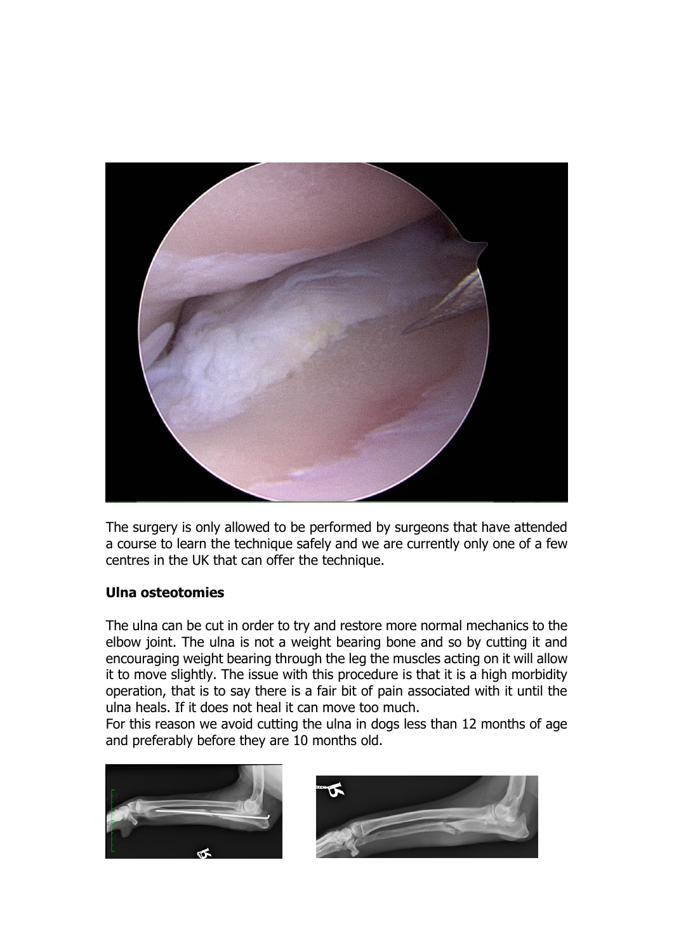

The surgery is only allowed to be performed by surgeons that have attended a course to learn the technique safely and we are currently only one of a few centres in the UK that can offer the technique.

# **Ulna osteotomies**

The ulna can be cut in order to try and restore more normal mechanics to the elbow joint. The ulna is not a weight bearing bone and so by cutting it and encouraging weight bearing through the leg the muscles acting on it will allow it to move slightly. The issue with this procedure is that it is a high morbidity operation, that is to say there is a fair bit of pain associated with it until the ulna heals. If it does not heal it can move too much.

For this reason we avoid cutting the ulna in dogs less than 12 months of age and preferably before they are 10 months old.



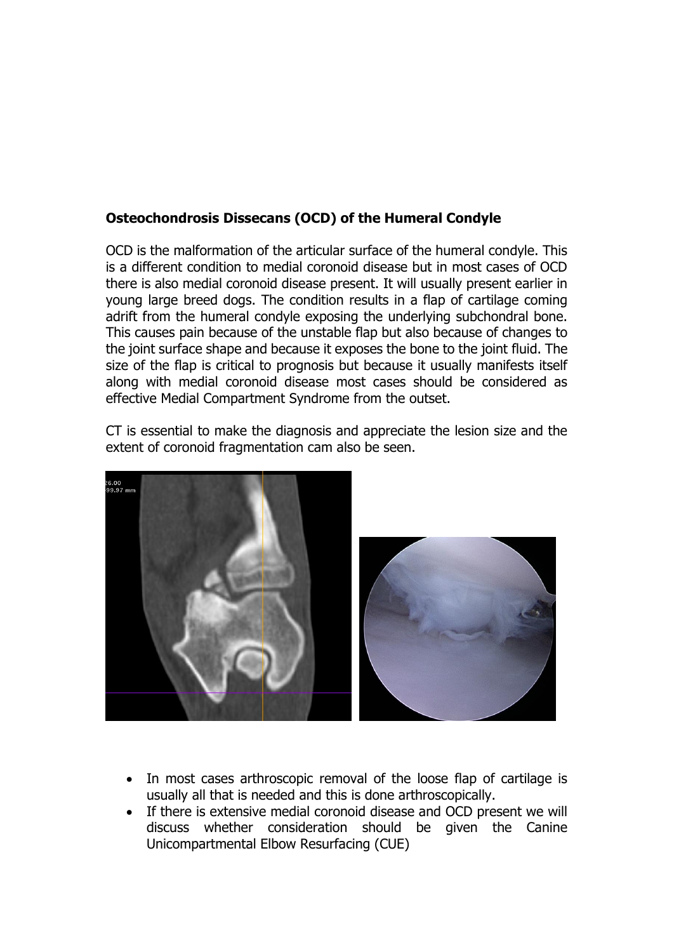# **Osteochondrosis Dissecans (OCD) of the Humeral Condyle**

OCD is the malformation of the articular surface of the humeral condyle. This is a different condition to medial coronoid disease but in most cases of OCD there is also medial coronoid disease present. It will usually present earlier in young large breed dogs. The condition results in a flap of cartilage coming adrift from the humeral condyle exposing the underlying subchondral bone. This causes pain because of the unstable flap but also because of changes to the joint surface shape and because it exposes the bone to the joint fluid. The size of the flap is critical to prognosis but because it usually manifests itself along with medial coronoid disease most cases should be considered as effective Medial Compartment Syndrome from the outset.

CT is essential to make the diagnosis and appreciate the lesion size and the extent of coronoid fragmentation cam also be seen.



- In most cases arthroscopic removal of the loose flap of cartilage is usually all that is needed and this is done arthroscopically.
- If there is extensive medial coronoid disease and OCD present we will discuss whether consideration should be given the Canine Unicompartmental Elbow Resurfacing (CUE)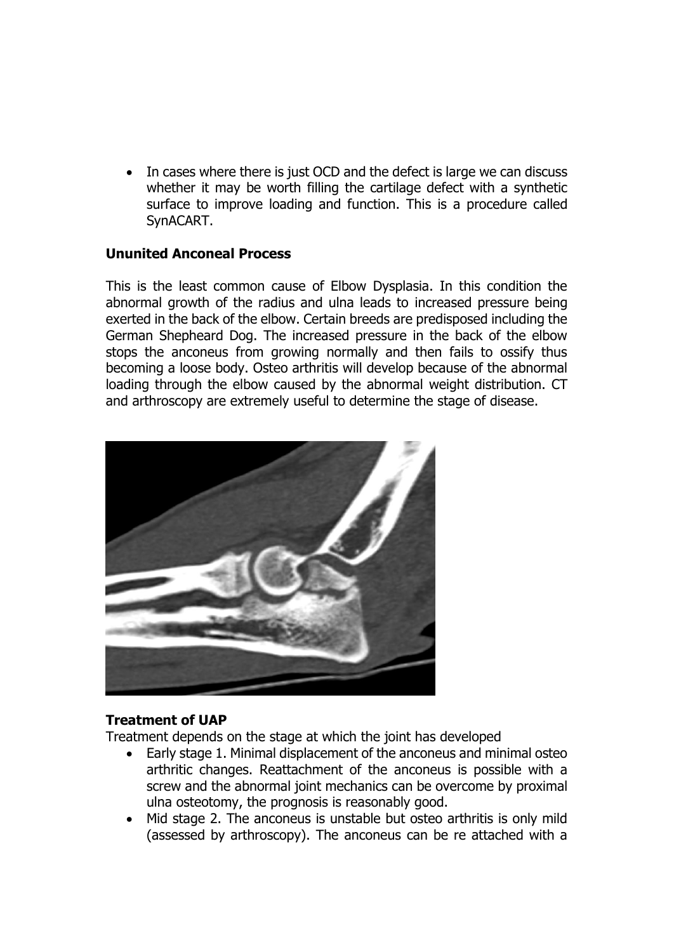• In cases where there is just OCD and the defect is large we can discuss whether it may be worth filling the cartilage defect with a synthetic surface to improve loading and function. This is a procedure called SynACART.

# **Ununited Anconeal Process**

This is the least common cause of Elbow Dysplasia. In this condition the abnormal growth of the radius and ulna leads to increased pressure being exerted in the back of the elbow. Certain breeds are predisposed including the German Shepheard Dog. The increased pressure in the back of the elbow stops the anconeus from growing normally and then fails to ossify thus becoming a loose body. Osteo arthritis will develop because of the abnormal loading through the elbow caused by the abnormal weight distribution. CT and arthroscopy are extremely useful to determine the stage of disease.



# **Treatment of UAP**

Treatment depends on the stage at which the joint has developed

- Early stage 1. Minimal displacement of the anconeus and minimal osteo arthritic changes. Reattachment of the anconeus is possible with a screw and the abnormal joint mechanics can be overcome by proximal ulna osteotomy, the prognosis is reasonably good.
- Mid stage 2. The anconeus is unstable but osteo arthritis is only mild (assessed by arthroscopy). The anconeus can be re attached with a